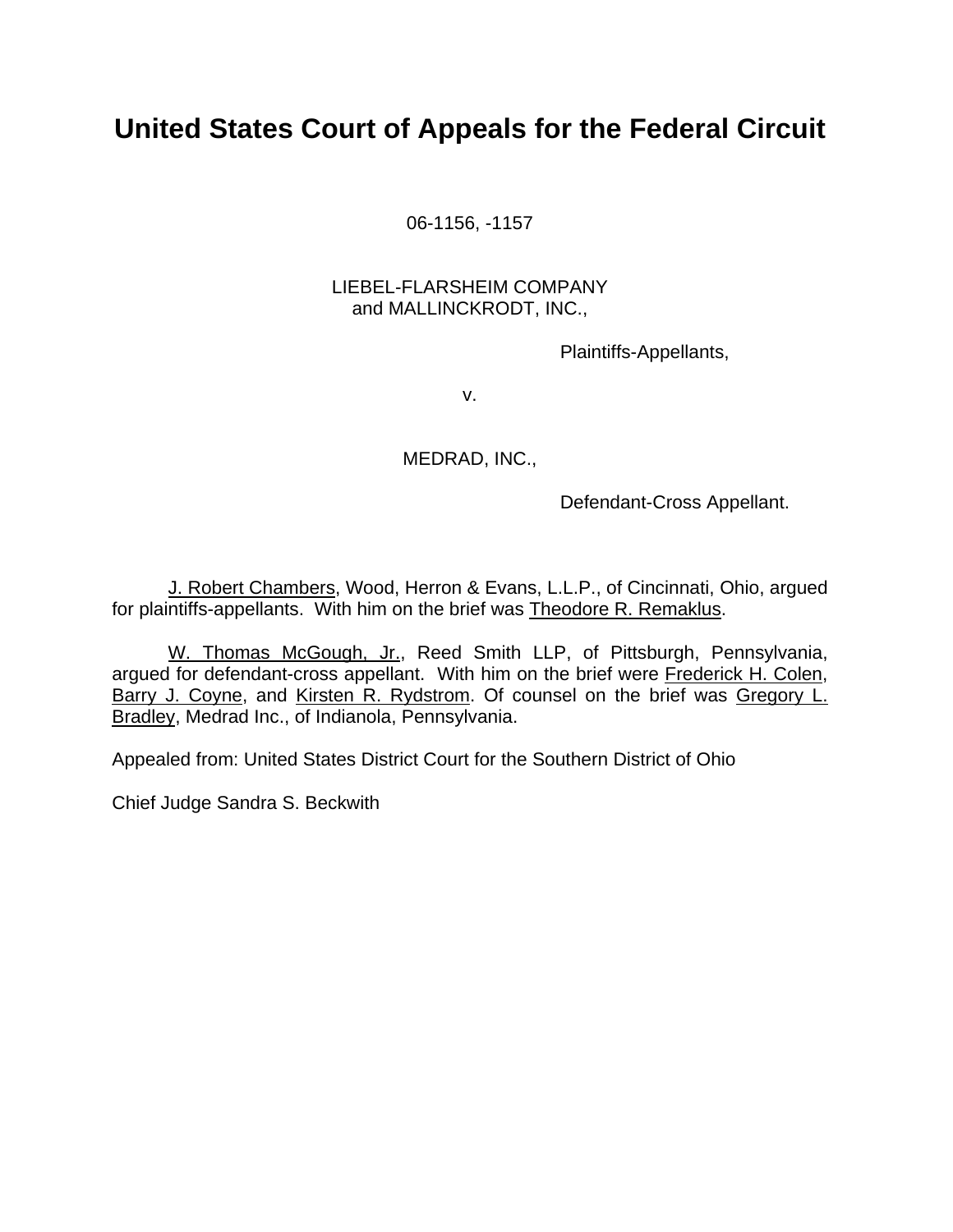# **United States Court of Appeals for the Federal Circuit**

06-1156, -1157

# LIEBEL-FLARSHEIM COMPANY and MALLINCKRODT, INC.,

Plaintiffs-Appellants,

v.

MEDRAD, INC.,

Defendant-Cross Appellant.

 J. Robert Chambers, Wood, Herron & Evans, L.L.P., of Cincinnati, Ohio, argued for plaintiffs-appellants. With him on the brief was Theodore R. Remaklus.

 W. Thomas McGough, Jr., Reed Smith LLP, of Pittsburgh, Pennsylvania, argued for defendant-cross appellant. With him on the brief were Frederick H. Colen, Barry J. Coyne, and Kirsten R. Rydstrom. Of counsel on the brief was Gregory L. Bradley, Medrad Inc., of Indianola, Pennsylvania.

Appealed from: United States District Court for the Southern District of Ohio

Chief Judge Sandra S. Beckwith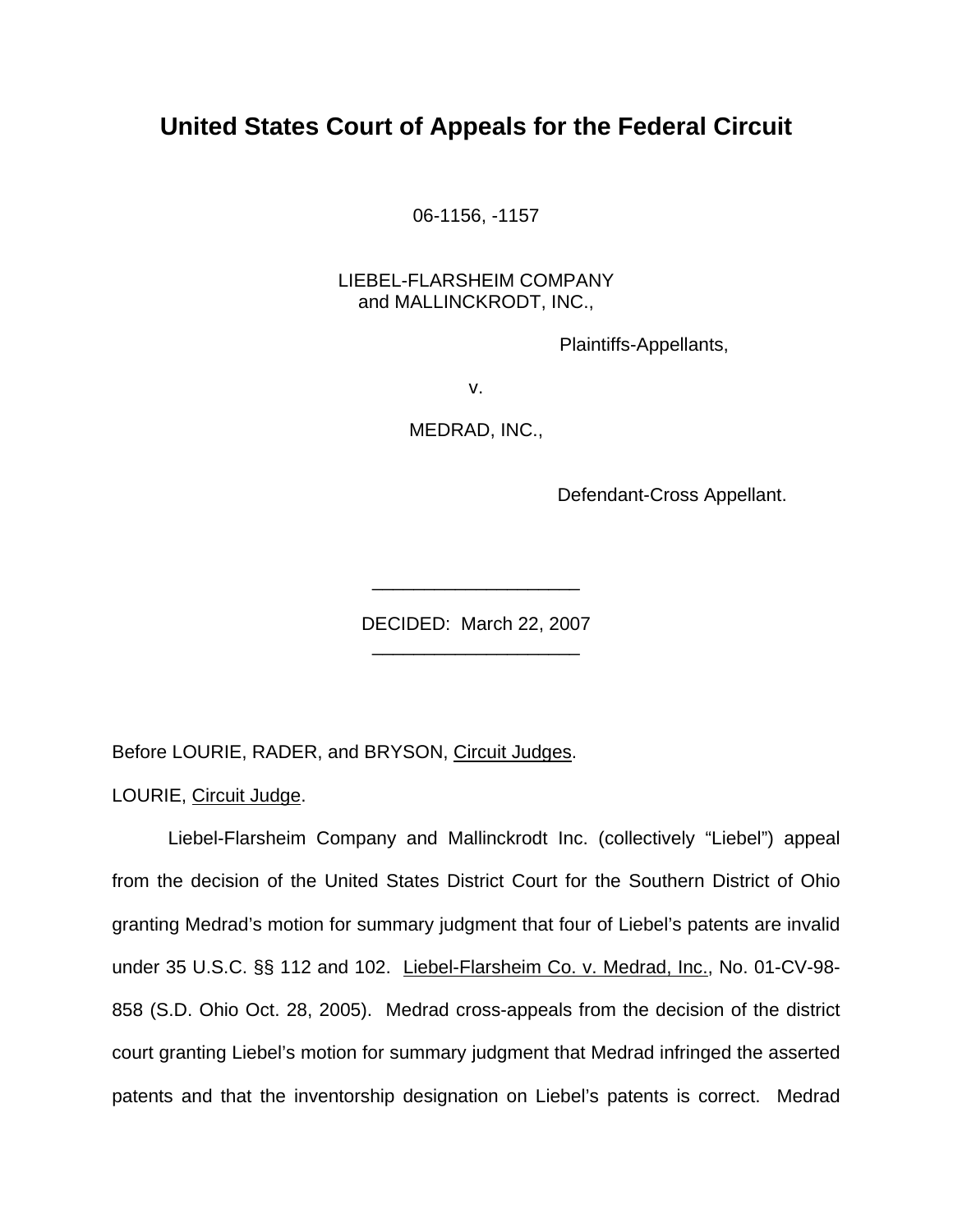# **United States Court of Appeals for the Federal Circuit**

06-1156, -1157

# LIEBEL-FLARSHEIM COMPANY and MALLINCKRODT, INC.,

Plaintiffs-Appellants,

v.

MEDRAD, INC.,

Defendant-Cross Appellant.

DECIDED: March 22, 2007 \_\_\_\_\_\_\_\_\_\_\_\_\_\_\_\_\_\_\_\_

\_\_\_\_\_\_\_\_\_\_\_\_\_\_\_\_\_\_\_\_

Before LOURIE, RADER, and BRYSON, Circuit Judges.

LOURIE, Circuit Judge.

Liebel-Flarsheim Company and Mallinckrodt Inc. (collectively "Liebel") appeal from the decision of the United States District Court for the Southern District of Ohio granting Medrad's motion for summary judgment that four of Liebel's patents are invalid under 35 U.S.C. §§ 112 and 102. Liebel-Flarsheim Co. v. Medrad, Inc., No. 01-CV-98- 858 (S.D. Ohio Oct. 28, 2005). Medrad cross-appeals from the decision of the district court granting Liebel's motion for summary judgment that Medrad infringed the asserted patents and that the inventorship designation on Liebel's patents is correct. Medrad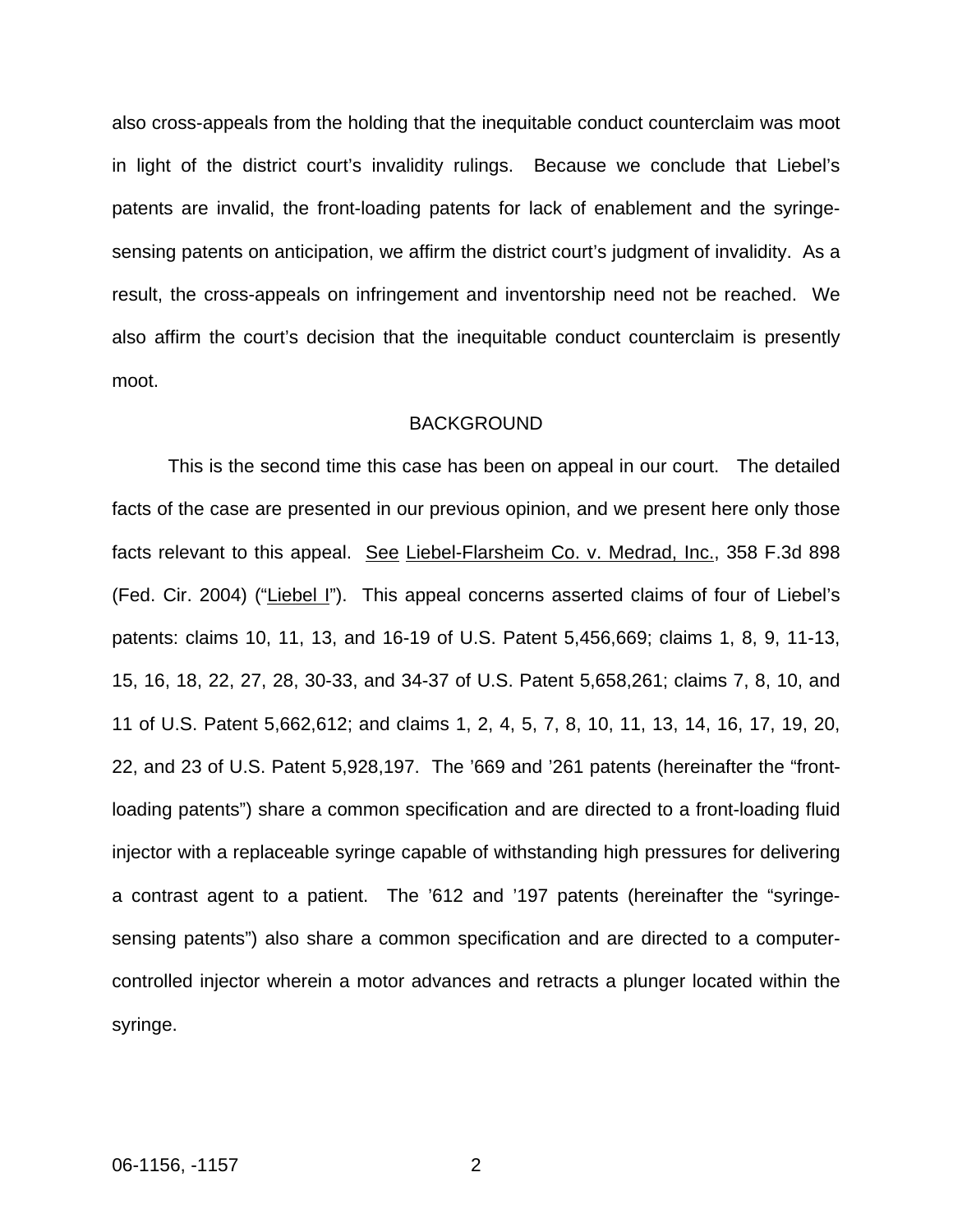also cross-appeals from the holding that the inequitable conduct counterclaim was moot in light of the district court's invalidity rulings. Because we conclude that Liebel's patents are invalid, the front-loading patents for lack of enablement and the syringesensing patents on anticipation, we affirm the district court's judgment of invalidity. As a result, the cross-appeals on infringement and inventorship need not be reached. We also affirm the court's decision that the inequitable conduct counterclaim is presently moot.

#### BACKGROUND

 This is the second time this case has been on appeal in our court. The detailed facts of the case are presented in our previous opinion, and we present here only those facts relevant to this appeal. See Liebel-Flarsheim Co. v. Medrad, Inc., 358 F.3d 898 (Fed. Cir. 2004) ("Liebel I"). This appeal concerns asserted claims of four of Liebel's patents: claims 10, 11, 13, and 16-19 of U.S. Patent 5,456,669; claims 1, 8, 9, 11-13, 15, 16, 18, 22, 27, 28, 30-33, and 34-37 of U.S. Patent 5,658,261; claims 7, 8, 10, and 11 of U.S. Patent 5,662,612; and claims 1, 2, 4, 5, 7, 8, 10, 11, 13, 14, 16, 17, 19, 20, 22, and 23 of U.S. Patent 5,928,197. The '669 and '261 patents (hereinafter the "frontloading patents") share a common specification and are directed to a front-loading fluid injector with a replaceable syringe capable of withstanding high pressures for delivering a contrast agent to a patient. The '612 and '197 patents (hereinafter the "syringesensing patents") also share a common specification and are directed to a computercontrolled injector wherein a motor advances and retracts a plunger located within the syringe.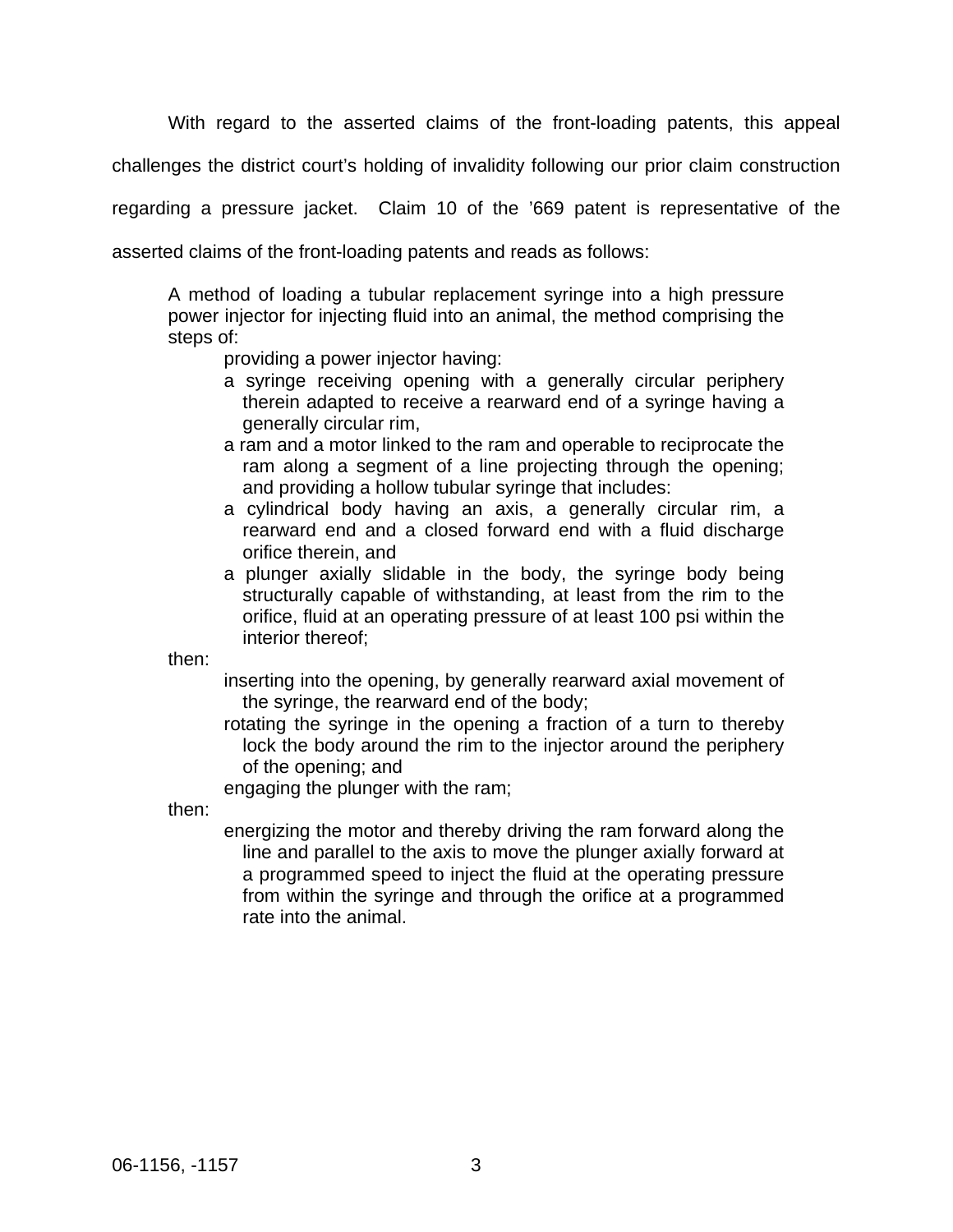With regard to the asserted claims of the front-loading patents, this appeal

challenges the district court's holding of invalidity following our prior claim construction

regarding a pressure jacket. Claim 10 of the '669 patent is representative of the

asserted claims of the front-loading patents and reads as follows:

A method of loading a tubular replacement syringe into a high pressure power injector for injecting fluid into an animal, the method comprising the steps of:

providing a power injector having:

- a syringe receiving opening with a generally circular periphery therein adapted to receive a rearward end of a syringe having a generally circular rim,
- a ram and a motor linked to the ram and operable to reciprocate the ram along a segment of a line projecting through the opening; and providing a hollow tubular syringe that includes:
- a cylindrical body having an axis, a generally circular rim, a rearward end and a closed forward end with a fluid discharge orifice therein, and
- a plunger axially slidable in the body, the syringe body being structurally capable of withstanding, at least from the rim to the orifice, fluid at an operating pressure of at least 100 psi within the interior thereof;

then:

inserting into the opening, by generally rearward axial movement of the syringe, the rearward end of the body;

rotating the syringe in the opening a fraction of a turn to thereby lock the body around the rim to the injector around the periphery of the opening; and

engaging the plunger with the ram;

then:

energizing the motor and thereby driving the ram forward along the line and parallel to the axis to move the plunger axially forward at a programmed speed to inject the fluid at the operating pressure from within the syringe and through the orifice at a programmed rate into the animal.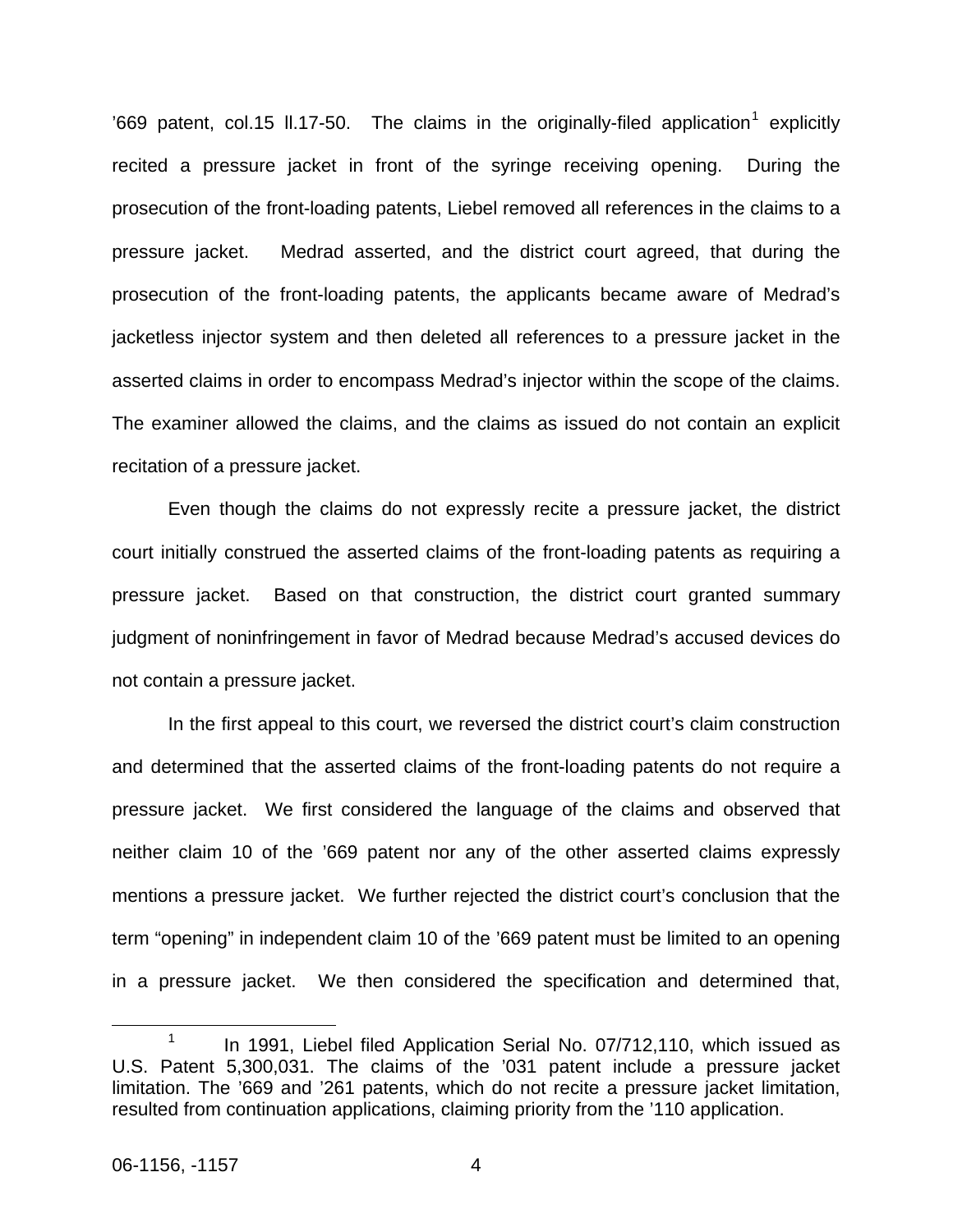'669 patent, col.[1](#page-4-0)5 II.17-50. The claims in the originally-filed application<sup>1</sup> explicitly recited a pressure jacket in front of the syringe receiving opening. During the prosecution of the front-loading patents, Liebel removed all references in the claims to a pressure jacket. Medrad asserted, and the district court agreed, that during the prosecution of the front-loading patents, the applicants became aware of Medrad's jacketless injector system and then deleted all references to a pressure jacket in the asserted claims in order to encompass Medrad's injector within the scope of the claims. The examiner allowed the claims, and the claims as issued do not contain an explicit recitation of a pressure jacket.

Even though the claims do not expressly recite a pressure jacket, the district court initially construed the asserted claims of the front-loading patents as requiring a pressure jacket. Based on that construction, the district court granted summary judgment of noninfringement in favor of Medrad because Medrad's accused devices do not contain a pressure jacket.

In the first appeal to this court, we reversed the district court's claim construction and determined that the asserted claims of the front-loading patents do not require a pressure jacket. We first considered the language of the claims and observed that neither claim 10 of the '669 patent nor any of the other asserted claims expressly mentions a pressure jacket. We further rejected the district court's conclusion that the term "opening" in independent claim 10 of the '669 patent must be limited to an opening in a pressure jacket. We then considered the specification and determined that,

<span id="page-4-0"></span> <sup>1</sup> <sup>1</sup> In 1991, Liebel filed Application Serial No. 07/712,110, which issued as U.S. Patent 5,300,031. The claims of the '031 patent include a pressure jacket limitation. The '669 and '261 patents, which do not recite a pressure jacket limitation, resulted from continuation applications, claiming priority from the '110 application.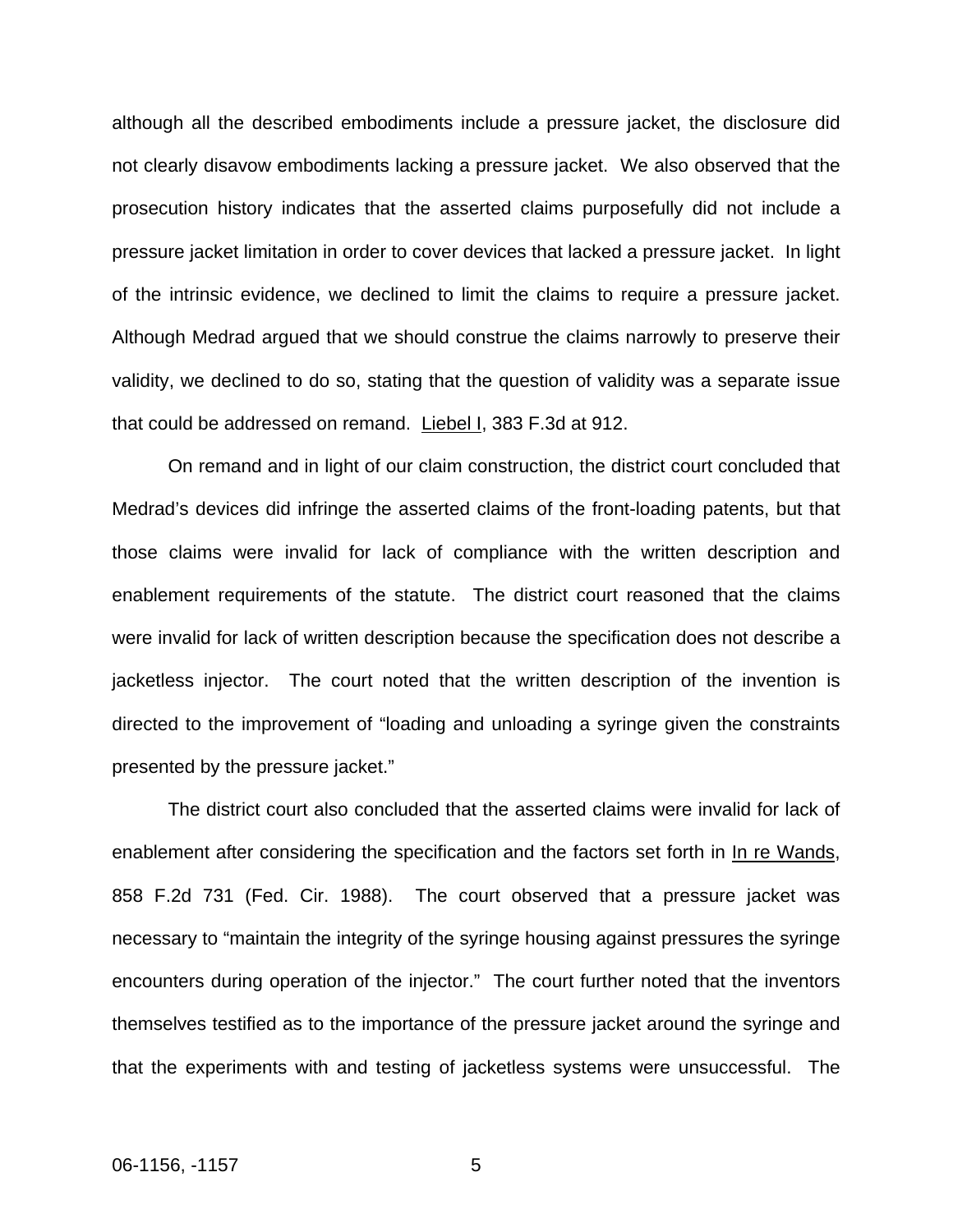although all the described embodiments include a pressure jacket, the disclosure did not clearly disavow embodiments lacking a pressure jacket. We also observed that the prosecution history indicates that the asserted claims purposefully did not include a pressure jacket limitation in order to cover devices that lacked a pressure jacket. In light of the intrinsic evidence, we declined to limit the claims to require a pressure jacket. Although Medrad argued that we should construe the claims narrowly to preserve their validity, we declined to do so, stating that the question of validity was a separate issue that could be addressed on remand. Liebel I, 383 F.3d at 912.

On remand and in light of our claim construction, the district court concluded that Medrad's devices did infringe the asserted claims of the front-loading patents, but that those claims were invalid for lack of compliance with the written description and enablement requirements of the statute. The district court reasoned that the claims were invalid for lack of written description because the specification does not describe a jacketless injector. The court noted that the written description of the invention is directed to the improvement of "loading and unloading a syringe given the constraints presented by the pressure jacket."

The district court also concluded that the asserted claims were invalid for lack of enablement after considering the specification and the factors set forth in In re Wands, 858 F.2d 731 (Fed. Cir. 1988). The court observed that a pressure jacket was necessary to "maintain the integrity of the syringe housing against pressures the syringe encounters during operation of the injector." The court further noted that the inventors themselves testified as to the importance of the pressure jacket around the syringe and that the experiments with and testing of jacketless systems were unsuccessful. The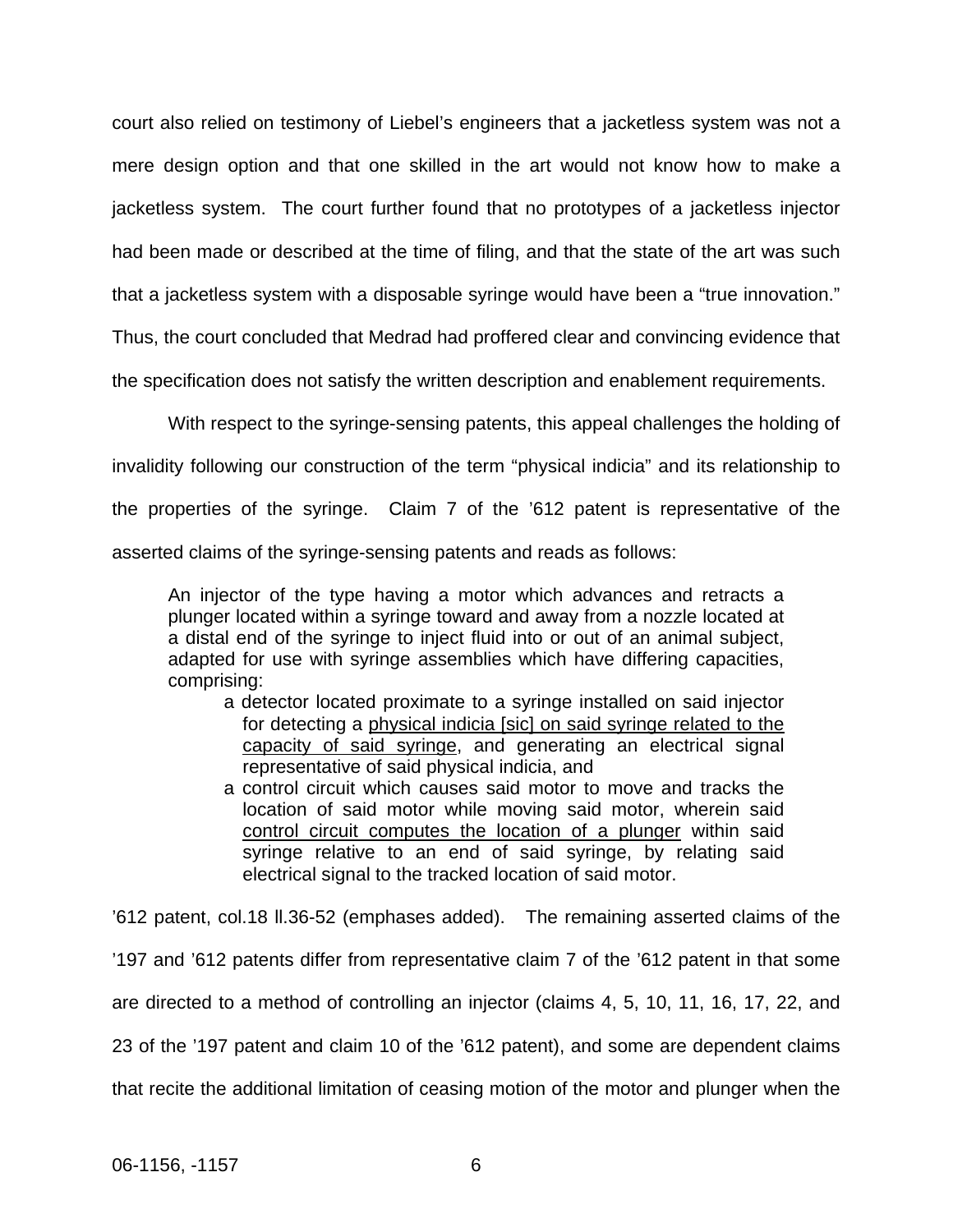court also relied on testimony of Liebel's engineers that a jacketless system was not a mere design option and that one skilled in the art would not know how to make a jacketless system. The court further found that no prototypes of a jacketless injector had been made or described at the time of filing, and that the state of the art was such that a jacketless system with a disposable syringe would have been a "true innovation." Thus, the court concluded that Medrad had proffered clear and convincing evidence that

the specification does not satisfy the written description and enablement requirements.

 With respect to the syringe-sensing patents, this appeal challenges the holding of invalidity following our construction of the term "physical indicia" and its relationship to the properties of the syringe. Claim 7 of the '612 patent is representative of the

asserted claims of the syringe-sensing patents and reads as follows:

An injector of the type having a motor which advances and retracts a plunger located within a syringe toward and away from a nozzle located at a distal end of the syringe to inject fluid into or out of an animal subject, adapted for use with syringe assemblies which have differing capacities, comprising:

- a detector located proximate to a syringe installed on said injector for detecting a physical indicia [sic] on said syringe related to the capacity of said syringe, and generating an electrical signal representative of said physical indicia, and
- a control circuit which causes said motor to move and tracks the location of said motor while moving said motor, wherein said control circuit computes the location of a plunger within said syringe relative to an end of said syringe, by relating said electrical signal to the tracked location of said motor.

'612 patent, col.18 ll.36-52 (emphases added). The remaining asserted claims of the '197 and '612 patents differ from representative claim 7 of the '612 patent in that some are directed to a method of controlling an injector (claims 4, 5, 10, 11, 16, 17, 22, and 23 of the '197 patent and claim 10 of the '612 patent), and some are dependent claims that recite the additional limitation of ceasing motion of the motor and plunger when the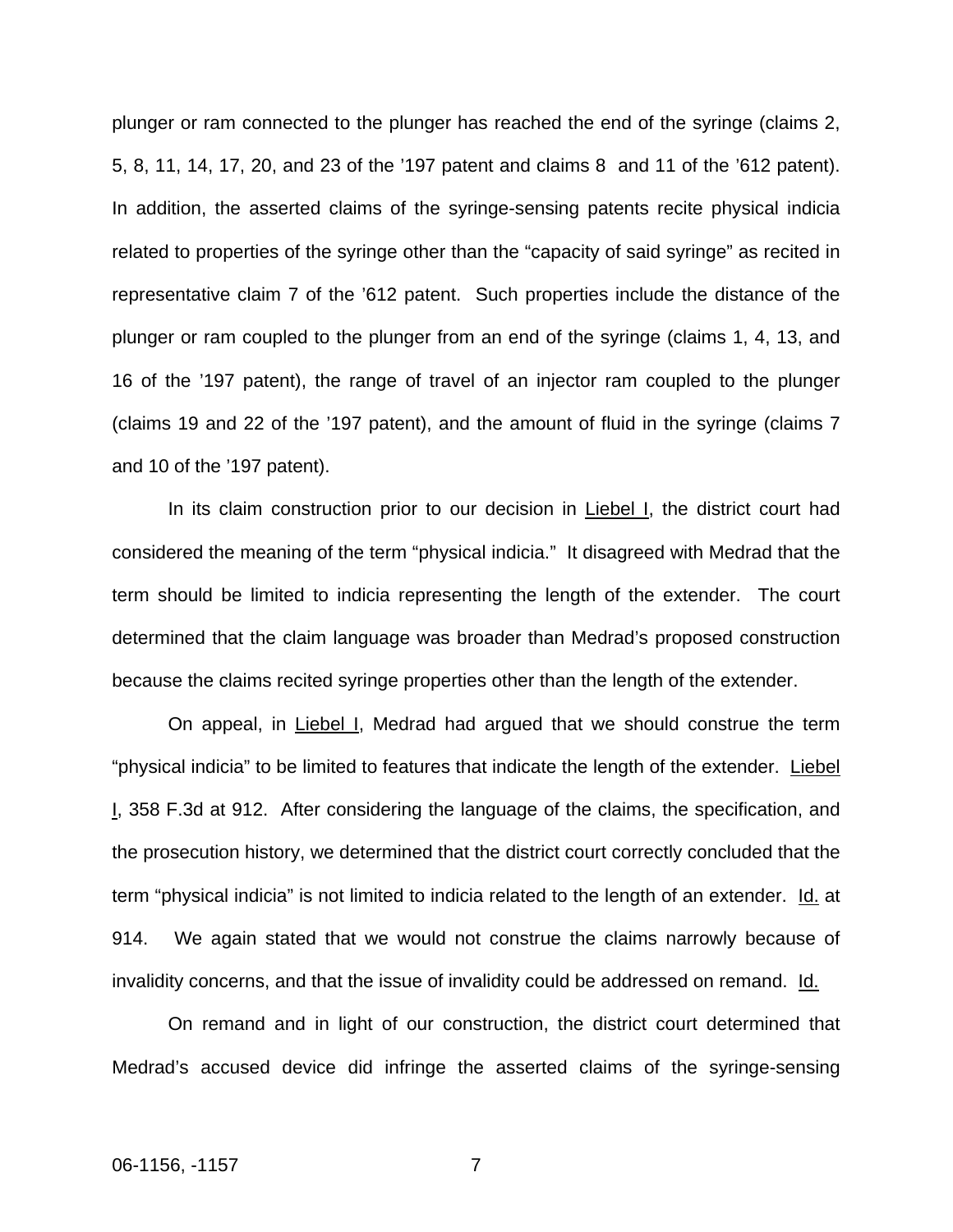plunger or ram connected to the plunger has reached the end of the syringe (claims 2, 5, 8, 11, 14, 17, 20, and 23 of the '197 patent and claims 8 and 11 of the '612 patent). In addition, the asserted claims of the syringe-sensing patents recite physical indicia related to properties of the syringe other than the "capacity of said syringe" as recited in representative claim 7 of the '612 patent. Such properties include the distance of the plunger or ram coupled to the plunger from an end of the syringe (claims 1, 4, 13, and 16 of the '197 patent), the range of travel of an injector ram coupled to the plunger (claims 19 and 22 of the '197 patent), and the amount of fluid in the syringe (claims 7 and 10 of the '197 patent).

In its claim construction prior to our decision in Liebel I, the district court had considered the meaning of the term "physical indicia." It disagreed with Medrad that the term should be limited to indicia representing the length of the extender. The court determined that the claim language was broader than Medrad's proposed construction because the claims recited syringe properties other than the length of the extender.

 On appeal, in Liebel I, Medrad had argued that we should construe the term "physical indicia" to be limited to features that indicate the length of the extender. Liebel I, 358 F.3d at 912. After considering the language of the claims, the specification, and the prosecution history, we determined that the district court correctly concluded that the term "physical indicia" is not limited to indicia related to the length of an extender. Id. at 914. We again stated that we would not construe the claims narrowly because of invalidity concerns, and that the issue of invalidity could be addressed on remand. Id.

On remand and in light of our construction, the district court determined that Medrad's accused device did infringe the asserted claims of the syringe-sensing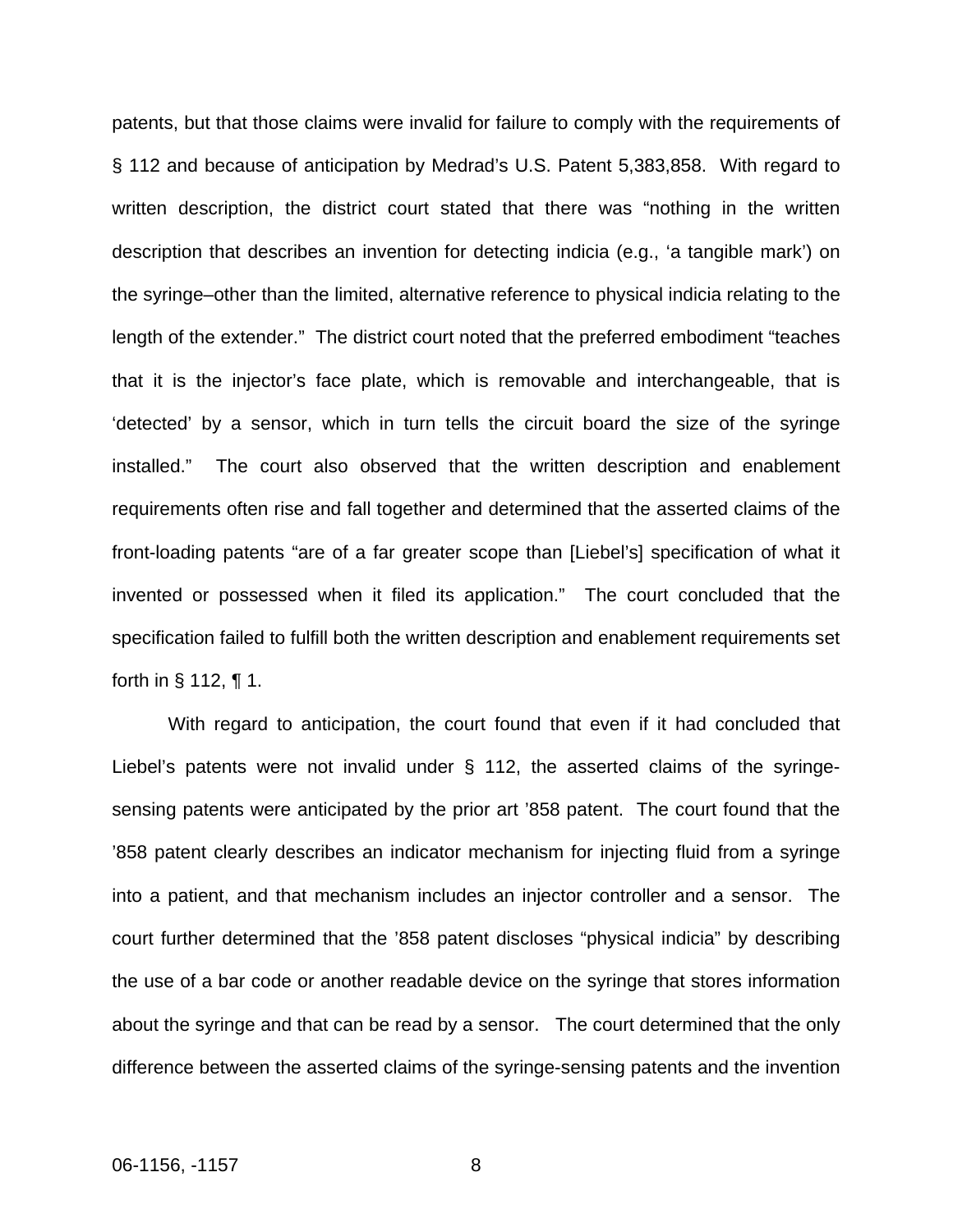patents, but that those claims were invalid for failure to comply with the requirements of § 112 and because of anticipation by Medrad's U.S. Patent 5,383,858. With regard to written description, the district court stated that there was "nothing in the written description that describes an invention for detecting indicia (e.g., 'a tangible mark') on the syringe–other than the limited, alternative reference to physical indicia relating to the length of the extender." The district court noted that the preferred embodiment "teaches that it is the injector's face plate, which is removable and interchangeable, that is 'detected' by a sensor, which in turn tells the circuit board the size of the syringe installed." The court also observed that the written description and enablement requirements often rise and fall together and determined that the asserted claims of the front-loading patents "are of a far greater scope than [Liebel's] specification of what it invented or possessed when it filed its application." The court concluded that the specification failed to fulfill both the written description and enablement requirements set forth in § 112, ¶ 1.

 With regard to anticipation, the court found that even if it had concluded that Liebel's patents were not invalid under § 112, the asserted claims of the syringesensing patents were anticipated by the prior art '858 patent. The court found that the '858 patent clearly describes an indicator mechanism for injecting fluid from a syringe into a patient, and that mechanism includes an injector controller and a sensor. The court further determined that the '858 patent discloses "physical indicia" by describing the use of a bar code or another readable device on the syringe that stores information about the syringe and that can be read by a sensor. The court determined that the only difference between the asserted claims of the syringe-sensing patents and the invention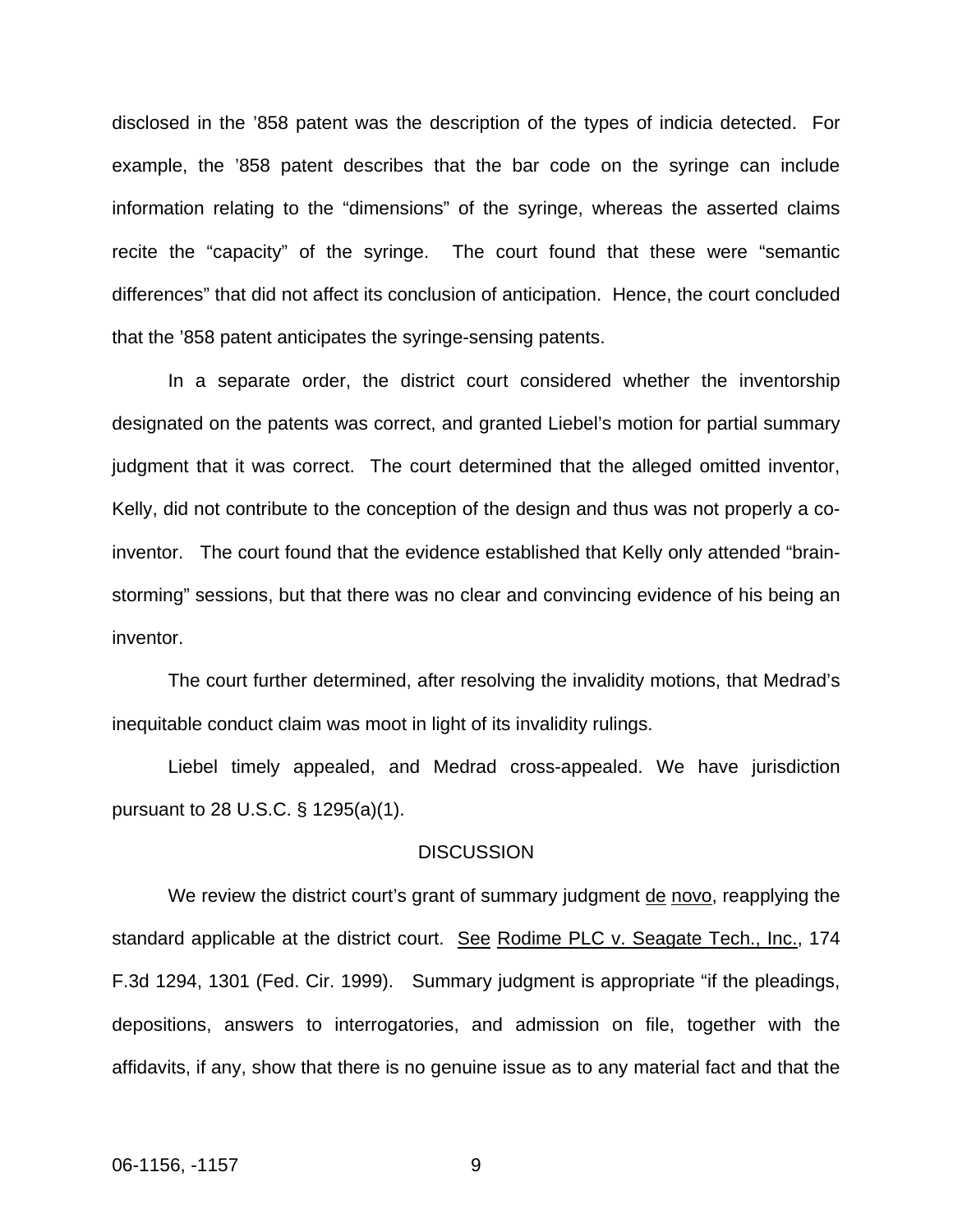disclosed in the '858 patent was the description of the types of indicia detected. For example, the '858 patent describes that the bar code on the syringe can include information relating to the "dimensions" of the syringe, whereas the asserted claims recite the "capacity" of the syringe. The court found that these were "semantic differences" that did not affect its conclusion of anticipation. Hence, the court concluded that the '858 patent anticipates the syringe-sensing patents.

 In a separate order, the district court considered whether the inventorship designated on the patents was correct, and granted Liebel's motion for partial summary judgment that it was correct. The court determined that the alleged omitted inventor, Kelly, did not contribute to the conception of the design and thus was not properly a coinventor. The court found that the evidence established that Kelly only attended "brainstorming" sessions, but that there was no clear and convincing evidence of his being an inventor.

 The court further determined, after resolving the invalidity motions, that Medrad's inequitable conduct claim was moot in light of its invalidity rulings.

Liebel timely appealed, and Medrad cross-appealed. We have jurisdiction pursuant to 28 U.S.C. § 1295(a)(1).

#### **DISCUSSION**

We review the district court's grant of summary judgment <u>de novo</u>, reapplying the standard applicable at the district court. See Rodime PLC v. Seagate Tech., Inc., 174 F.3d 1294, 1301 (Fed. Cir. 1999). Summary judgment is appropriate "if the pleadings, depositions, answers to interrogatories, and admission on file, together with the affidavits, if any, show that there is no genuine issue as to any material fact and that the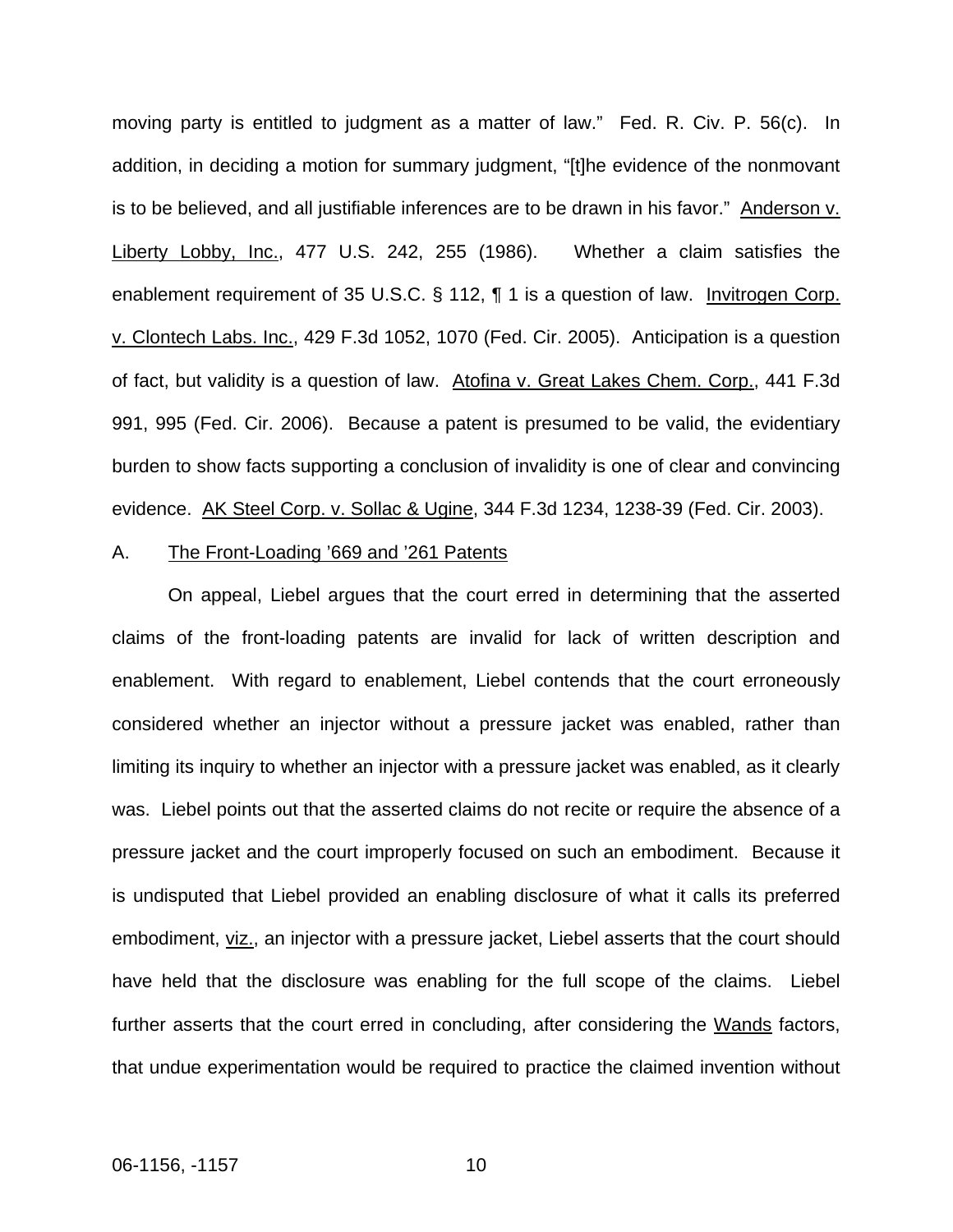moving party is entitled to judgment as a matter of law." Fed. R. Civ. P. 56(c). In addition, in deciding a motion for summary judgment, "[t]he evidence of the nonmovant is to be believed, and all justifiable inferences are to be drawn in his favor." Anderson v. Liberty Lobby, Inc., 477 U.S. 242, 255 (1986). Whether a claim satisfies the enablement requirement of 35 U.S.C. § 112, ¶ 1 is a question of law. Invitrogen Corp. v. Clontech Labs. Inc., 429 F.3d 1052, 1070 (Fed. Cir. 2005). Anticipation is a question of fact, but validity is a question of law. Atofina v. Great Lakes Chem. Corp., 441 F.3d 991, 995 (Fed. Cir. 2006). Because a patent is presumed to be valid, the evidentiary burden to show facts supporting a conclusion of invalidity is one of clear and convincing evidence. AK Steel Corp. v. Sollac & Ugine, 344 F.3d 1234, 1238-39 (Fed. Cir. 2003).

#### A. The Front-Loading '669 and '261 Patents

 On appeal, Liebel argues that the court erred in determining that the asserted claims of the front-loading patents are invalid for lack of written description and enablement. With regard to enablement, Liebel contends that the court erroneously considered whether an injector without a pressure jacket was enabled, rather than limiting its inquiry to whether an injector with a pressure jacket was enabled, as it clearly was. Liebel points out that the asserted claims do not recite or require the absence of a pressure jacket and the court improperly focused on such an embodiment. Because it is undisputed that Liebel provided an enabling disclosure of what it calls its preferred embodiment, viz., an injector with a pressure jacket, Liebel asserts that the court should have held that the disclosure was enabling for the full scope of the claims. Liebel further asserts that the court erred in concluding, after considering the Wands factors, that undue experimentation would be required to practice the claimed invention without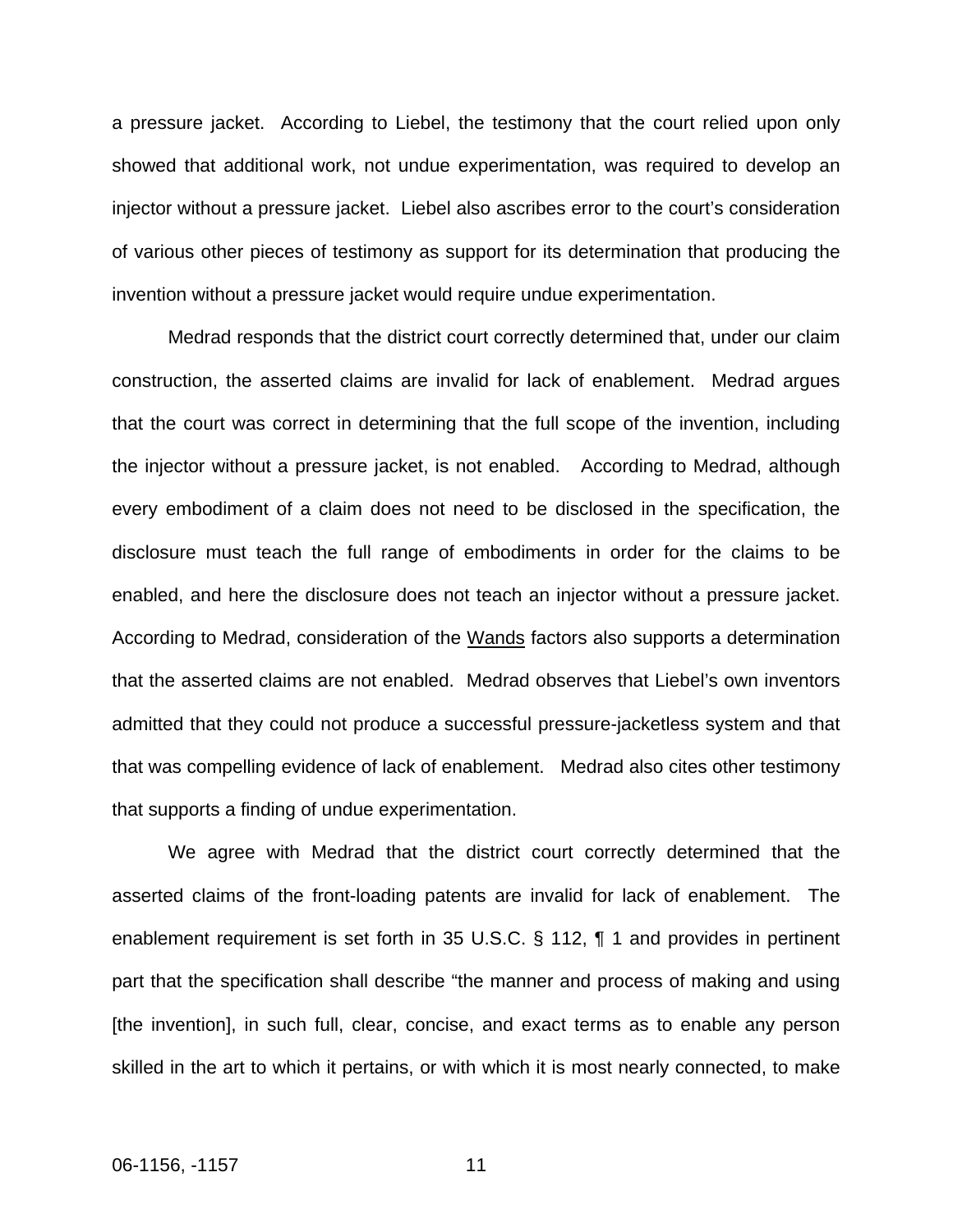a pressure jacket. According to Liebel, the testimony that the court relied upon only showed that additional work, not undue experimentation, was required to develop an injector without a pressure jacket. Liebel also ascribes error to the court's consideration of various other pieces of testimony as support for its determination that producing the invention without a pressure jacket would require undue experimentation.

 Medrad responds that the district court correctly determined that, under our claim construction, the asserted claims are invalid for lack of enablement. Medrad argues that the court was correct in determining that the full scope of the invention, including the injector without a pressure jacket, is not enabled. According to Medrad, although every embodiment of a claim does not need to be disclosed in the specification, the disclosure must teach the full range of embodiments in order for the claims to be enabled, and here the disclosure does not teach an injector without a pressure jacket. According to Medrad, consideration of the Wands factors also supports a determination that the asserted claims are not enabled. Medrad observes that Liebel's own inventors admitted that they could not produce a successful pressure-jacketless system and that that was compelling evidence of lack of enablement. Medrad also cites other testimony that supports a finding of undue experimentation.

We agree with Medrad that the district court correctly determined that the asserted claims of the front-loading patents are invalid for lack of enablement. The enablement requirement is set forth in 35 U.S.C. § 112, ¶ 1 and provides in pertinent part that the specification shall describe "the manner and process of making and using [the invention], in such full, clear, concise, and exact terms as to enable any person skilled in the art to which it pertains, or with which it is most nearly connected, to make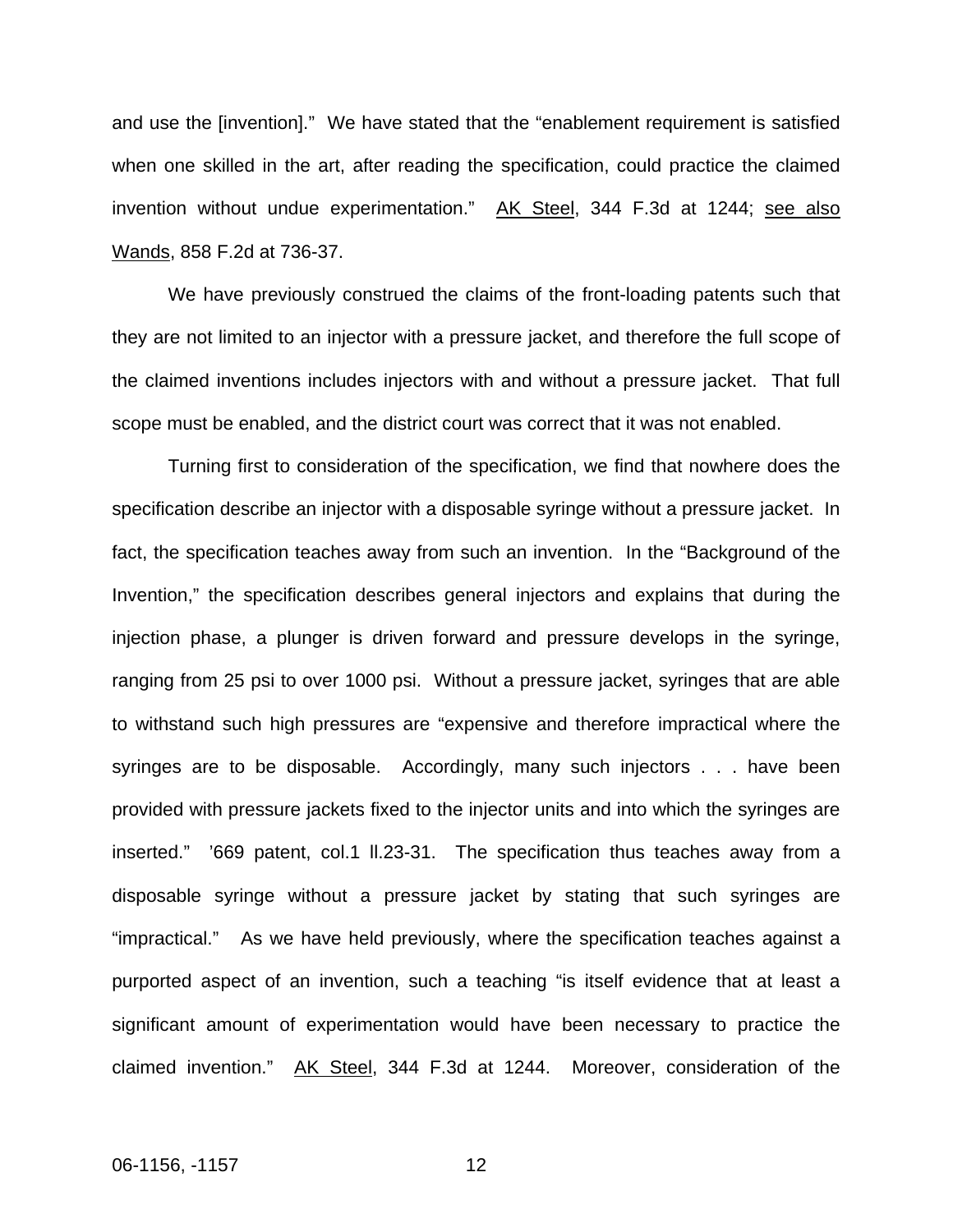and use the [invention]." We have stated that the "enablement requirement is satisfied when one skilled in the art, after reading the specification, could practice the claimed invention without undue experimentation." AK Steel, 344 F.3d at 1244; see also Wands, 858 F.2d at 736-37.

We have previously construed the claims of the front-loading patents such that they are not limited to an injector with a pressure jacket, and therefore the full scope of the claimed inventions includes injectors with and without a pressure jacket. That full scope must be enabled, and the district court was correct that it was not enabled.

Turning first to consideration of the specification, we find that nowhere does the specification describe an injector with a disposable syringe without a pressure jacket. In fact, the specification teaches away from such an invention. In the "Background of the Invention," the specification describes general injectors and explains that during the injection phase, a plunger is driven forward and pressure develops in the syringe, ranging from 25 psi to over 1000 psi. Without a pressure jacket, syringes that are able to withstand such high pressures are "expensive and therefore impractical where the syringes are to be disposable. Accordingly, many such injectors . . . have been provided with pressure jackets fixed to the injector units and into which the syringes are inserted." '669 patent, col.1 ll.23-31. The specification thus teaches away from a disposable syringe without a pressure jacket by stating that such syringes are "impractical." As we have held previously, where the specification teaches against a purported aspect of an invention, such a teaching "is itself evidence that at least a significant amount of experimentation would have been necessary to practice the claimed invention." AK Steel, 344 F.3d at 1244. Moreover, consideration of the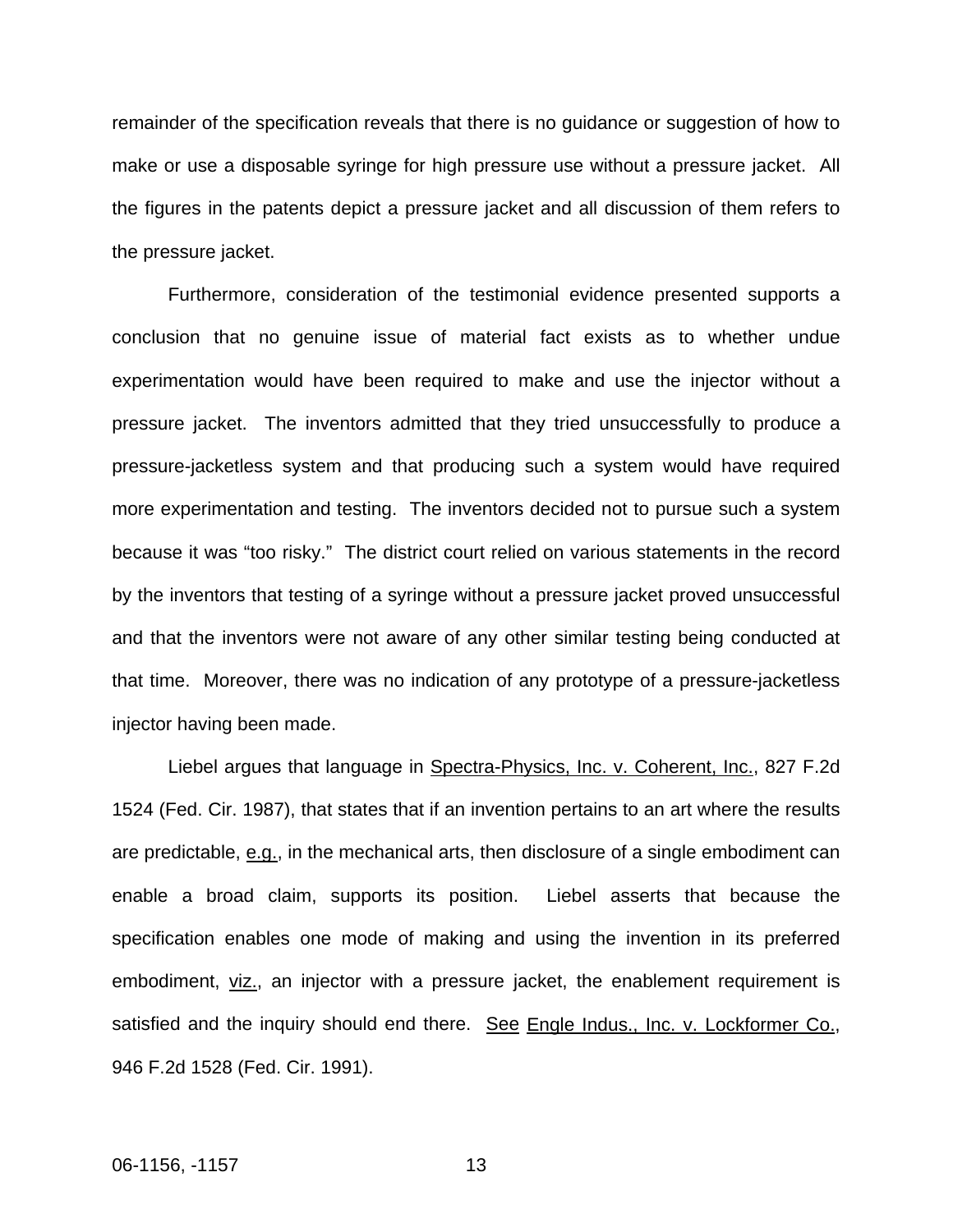remainder of the specification reveals that there is no guidance or suggestion of how to make or use a disposable syringe for high pressure use without a pressure jacket. All the figures in the patents depict a pressure jacket and all discussion of them refers to the pressure jacket.

Furthermore, consideration of the testimonial evidence presented supports a conclusion that no genuine issue of material fact exists as to whether undue experimentation would have been required to make and use the injector without a pressure jacket. The inventors admitted that they tried unsuccessfully to produce a pressure-jacketless system and that producing such a system would have required more experimentation and testing. The inventors decided not to pursue such a system because it was "too risky." The district court relied on various statements in the record by the inventors that testing of a syringe without a pressure jacket proved unsuccessful and that the inventors were not aware of any other similar testing being conducted at that time. Moreover, there was no indication of any prototype of a pressure-jacketless injector having been made.

Liebel argues that language in Spectra-Physics, Inc. v. Coherent, Inc., 827 F.2d 1524 (Fed. Cir. 1987), that states that if an invention pertains to an art where the results are predictable, e.g., in the mechanical arts, then disclosure of a single embodiment can enable a broad claim, supports its position. Liebel asserts that because the specification enables one mode of making and using the invention in its preferred embodiment, viz., an injector with a pressure jacket, the enablement requirement is satisfied and the inquiry should end there. See Engle Indus., Inc. v. Lockformer Co., 946 F.2d 1528 (Fed. Cir. 1991).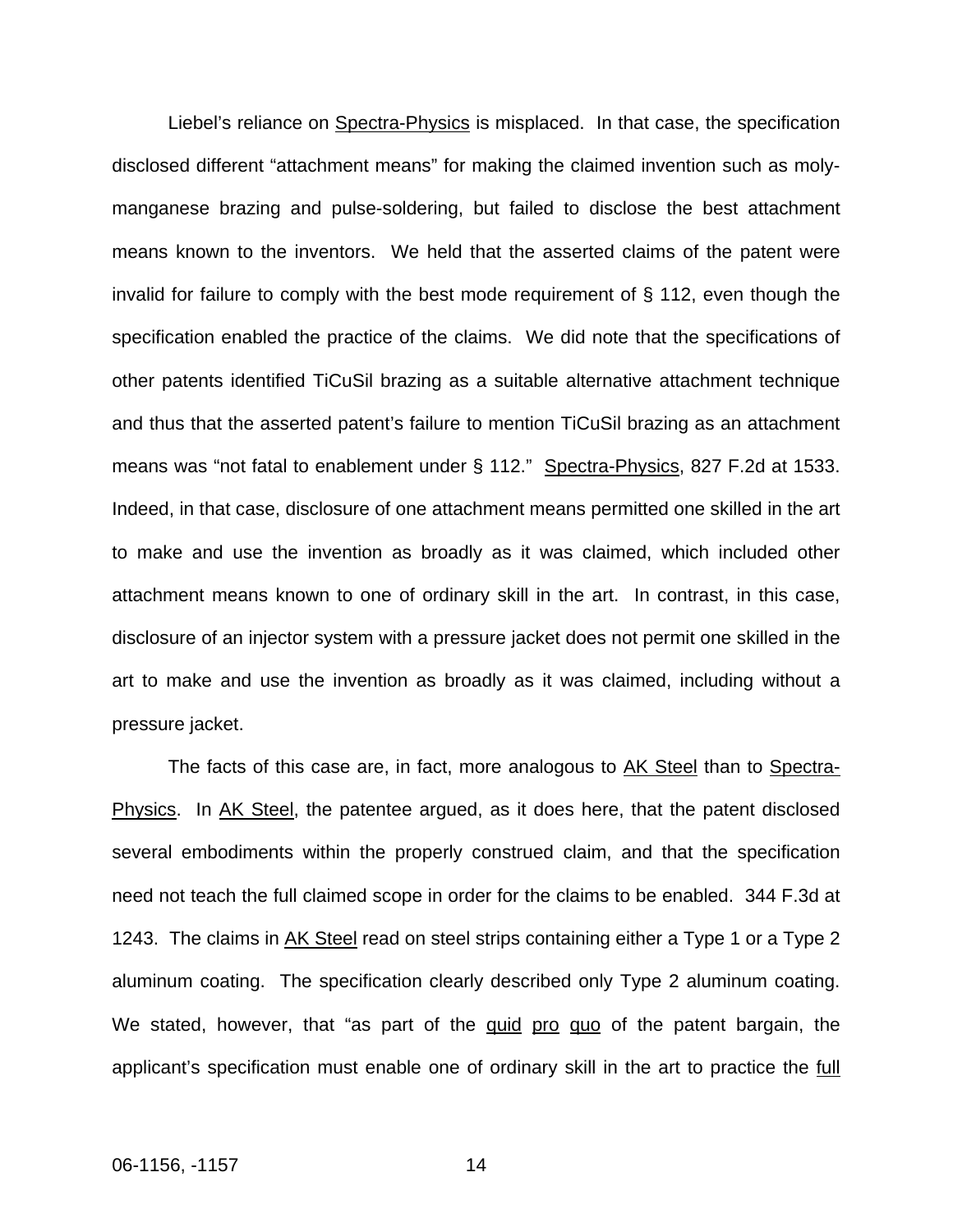Liebel's reliance on Spectra-Physics is misplaced. In that case, the specification disclosed different "attachment means" for making the claimed invention such as molymanganese brazing and pulse-soldering, but failed to disclose the best attachment means known to the inventors. We held that the asserted claims of the patent were invalid for failure to comply with the best mode requirement of § 112, even though the specification enabled the practice of the claims. We did note that the specifications of other patents identified TiCuSil brazing as a suitable alternative attachment technique and thus that the asserted patent's failure to mention TiCuSil brazing as an attachment means was "not fatal to enablement under § 112." Spectra-Physics, 827 F.2d at 1533. Indeed, in that case, disclosure of one attachment means permitted one skilled in the art to make and use the invention as broadly as it was claimed, which included other attachment means known to one of ordinary skill in the art. In contrast, in this case, disclosure of an injector system with a pressure jacket does not permit one skilled in the art to make and use the invention as broadly as it was claimed, including without a pressure jacket.

The facts of this case are, in fact, more analogous to AK Steel than to Spectra-Physics. In AK Steel, the patentee argued, as it does here, that the patent disclosed several embodiments within the properly construed claim, and that the specification need not teach the full claimed scope in order for the claims to be enabled. 344 F.3d at 1243. The claims in AK Steel read on steel strips containing either a Type 1 or a Type 2 aluminum coating. The specification clearly described only Type 2 aluminum coating. We stated, however, that "as part of the quid pro quo of the patent bargain, the applicant's specification must enable one of ordinary skill in the art to practice the full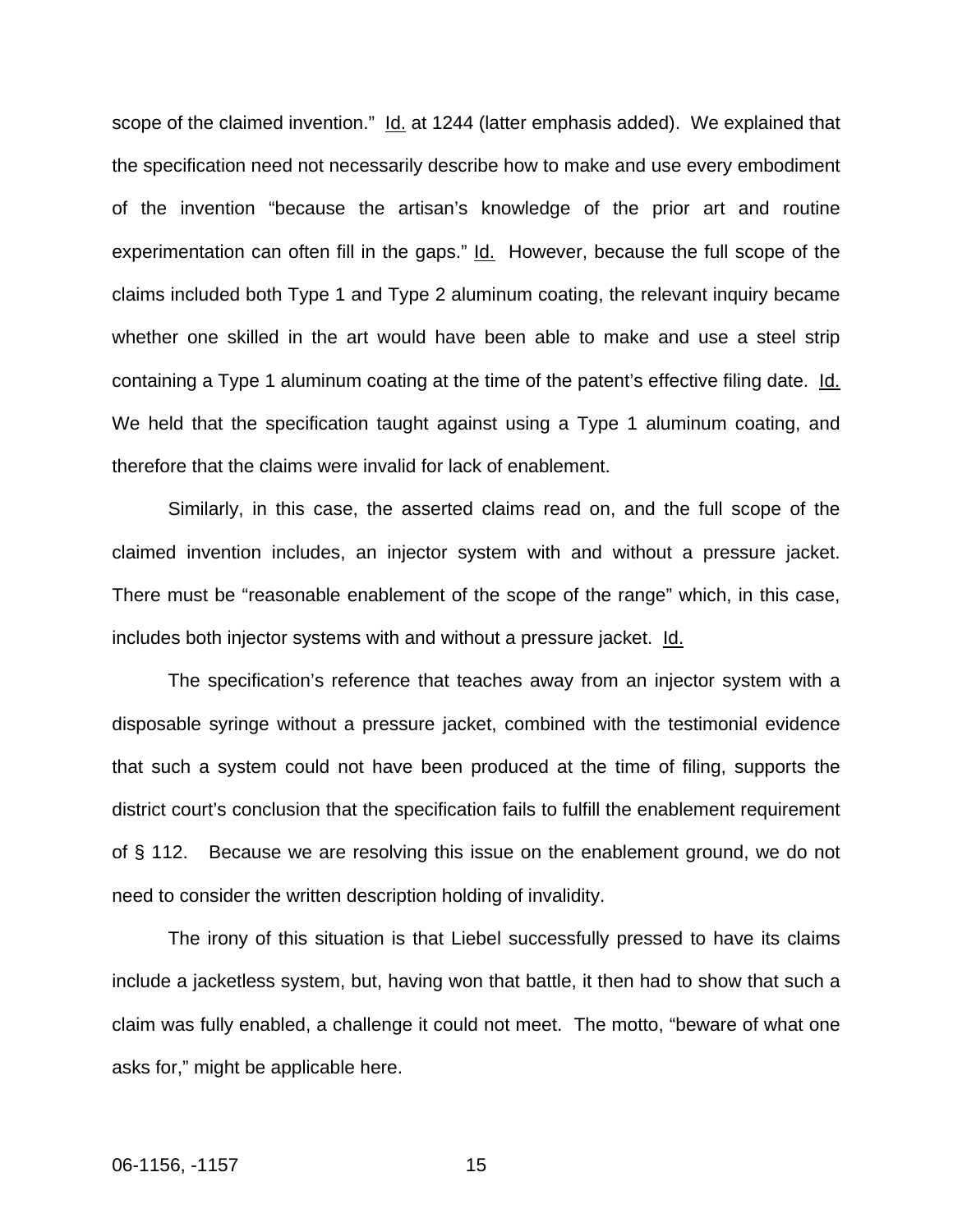scope of the claimed invention." Id. at 1244 (latter emphasis added). We explained that the specification need not necessarily describe how to make and use every embodiment of the invention "because the artisan's knowledge of the prior art and routine experimentation can often fill in the gaps." Id. However, because the full scope of the claims included both Type 1 and Type 2 aluminum coating, the relevant inquiry became whether one skilled in the art would have been able to make and use a steel strip containing a Type 1 aluminum coating at the time of the patent's effective filing date. Id. We held that the specification taught against using a Type 1 aluminum coating, and therefore that the claims were invalid for lack of enablement.

Similarly, in this case, the asserted claims read on, and the full scope of the claimed invention includes, an injector system with and without a pressure jacket. There must be "reasonable enablement of the scope of the range" which, in this case, includes both injector systems with and without a pressure jacket. Id.

The specification's reference that teaches away from an injector system with a disposable syringe without a pressure jacket, combined with the testimonial evidence that such a system could not have been produced at the time of filing, supports the district court's conclusion that the specification fails to fulfill the enablement requirement of § 112. Because we are resolving this issue on the enablement ground, we do not need to consider the written description holding of invalidity.

The irony of this situation is that Liebel successfully pressed to have its claims include a jacketless system, but, having won that battle, it then had to show that such a claim was fully enabled, a challenge it could not meet. The motto, "beware of what one asks for," might be applicable here.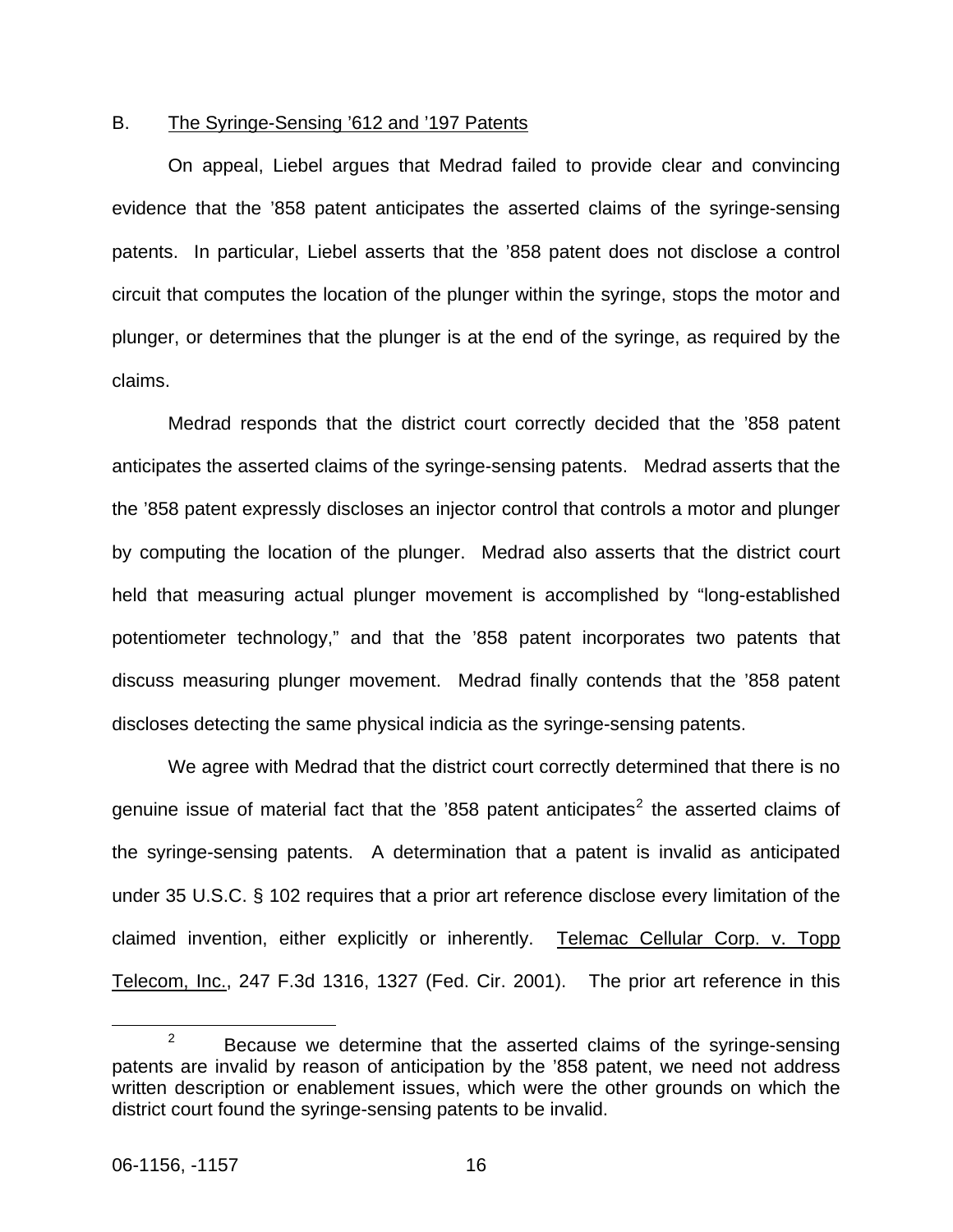### B. The Syringe-Sensing '612 and '197 Patents

 On appeal, Liebel argues that Medrad failed to provide clear and convincing evidence that the '858 patent anticipates the asserted claims of the syringe-sensing patents. In particular, Liebel asserts that the '858 patent does not disclose a control circuit that computes the location of the plunger within the syringe, stops the motor and plunger, or determines that the plunger is at the end of the syringe, as required by the claims.

 Medrad responds that the district court correctly decided that the '858 patent anticipates the asserted claims of the syringe-sensing patents. Medrad asserts that the the '858 patent expressly discloses an injector control that controls a motor and plunger by computing the location of the plunger. Medrad also asserts that the district court held that measuring actual plunger movement is accomplished by "long-established potentiometer technology," and that the '858 patent incorporates two patents that discuss measuring plunger movement. Medrad finally contends that the '858 patent discloses detecting the same physical indicia as the syringe-sensing patents.

We agree with Medrad that the district court correctly determined that there is no genuine issue of material fact that the '858 patent anticipates<sup>[2](#page-16-0)</sup> the asserted claims of the syringe-sensing patents. A determination that a patent is invalid as anticipated under 35 U.S.C. § 102 requires that a prior art reference disclose every limitation of the claimed invention, either explicitly or inherently. Telemac Cellular Corp. v. Topp Telecom, Inc., 247 F.3d 1316, 1327 (Fed. Cir. 2001). The prior art reference in this

<span id="page-16-0"></span> $\frac{1}{2}$  $P^2$  Because we determine that the asserted claims of the syringe-sensing patents are invalid by reason of anticipation by the '858 patent, we need not address written description or enablement issues, which were the other grounds on which the district court found the syringe-sensing patents to be invalid.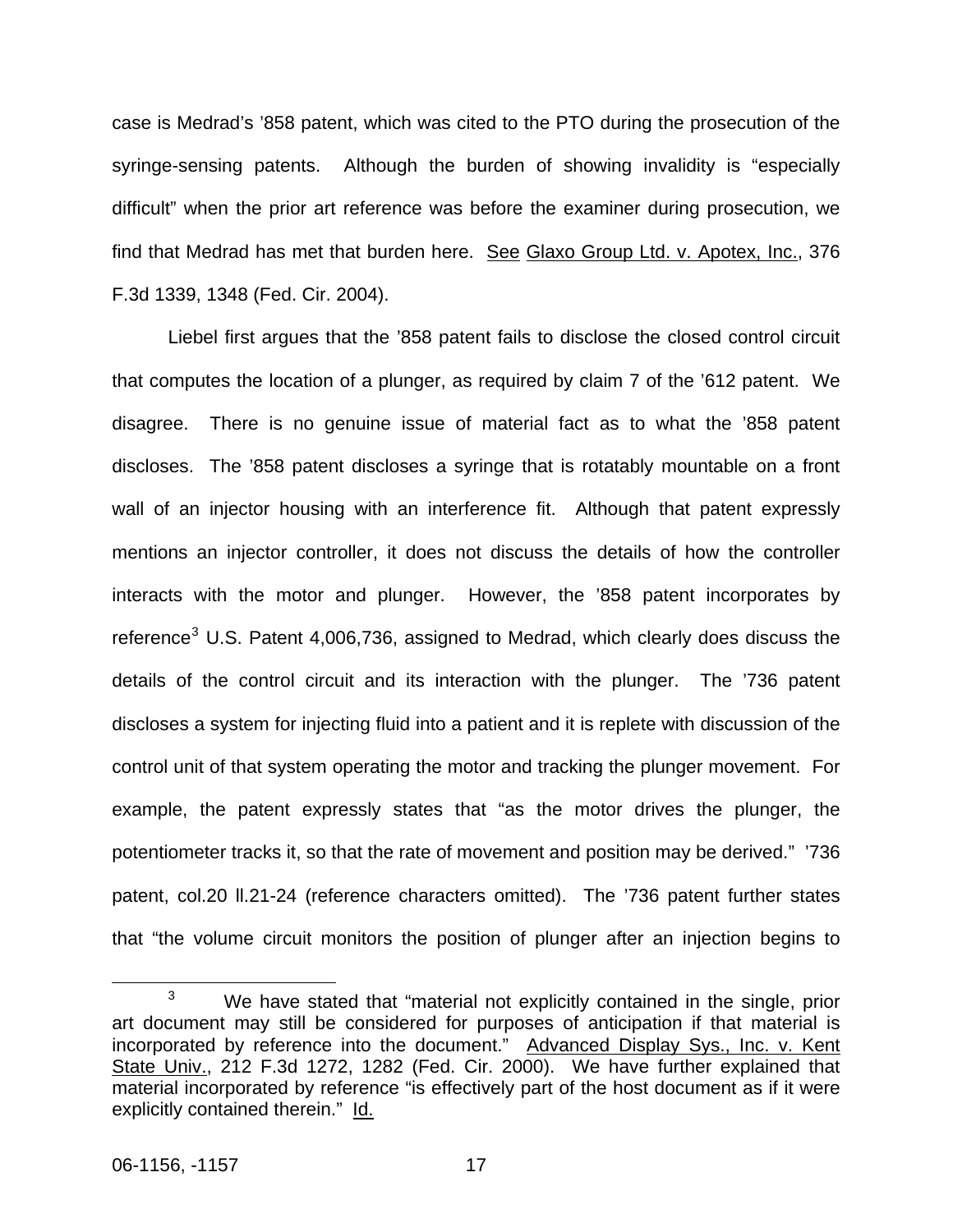case is Medrad's '858 patent, which was cited to the PTO during the prosecution of the syringe-sensing patents. Although the burden of showing invalidity is "especially difficult" when the prior art reference was before the examiner during prosecution, we find that Medrad has met that burden here. See Glaxo Group Ltd. v. Apotex, Inc., 376 F.3d 1339, 1348 (Fed. Cir. 2004).

Liebel first argues that the '858 patent fails to disclose the closed control circuit that computes the location of a plunger, as required by claim 7 of the '612 patent. We disagree. There is no genuine issue of material fact as to what the '858 patent discloses. The '858 patent discloses a syringe that is rotatably mountable on a front wall of an injector housing with an interference fit. Although that patent expressly mentions an injector controller, it does not discuss the details of how the controller interacts with the motor and plunger. However, the '858 patent incorporates by reference<sup>[3](#page-17-0)</sup> U.S. Patent 4,006,736, assigned to Medrad, which clearly does discuss the details of the control circuit and its interaction with the plunger. The '736 patent discloses a system for injecting fluid into a patient and it is replete with discussion of the control unit of that system operating the motor and tracking the plunger movement. For example, the patent expressly states that "as the motor drives the plunger, the potentiometer tracks it, so that the rate of movement and position may be derived." '736 patent, col.20 ll.21-24 (reference characters omitted). The '736 patent further states that "the volume circuit monitors the position of plunger after an injection begins to

<span id="page-17-0"></span> $\frac{1}{3}$  $3$  We have stated that "material not explicitly contained in the single, prior art document may still be considered for purposes of anticipation if that material is incorporated by reference into the document." Advanced Display Sys., Inc. v. Kent State Univ., 212 F.3d 1272, 1282 (Fed. Cir. 2000). We have further explained that material incorporated by reference "is effectively part of the host document as if it were explicitly contained therein." Id.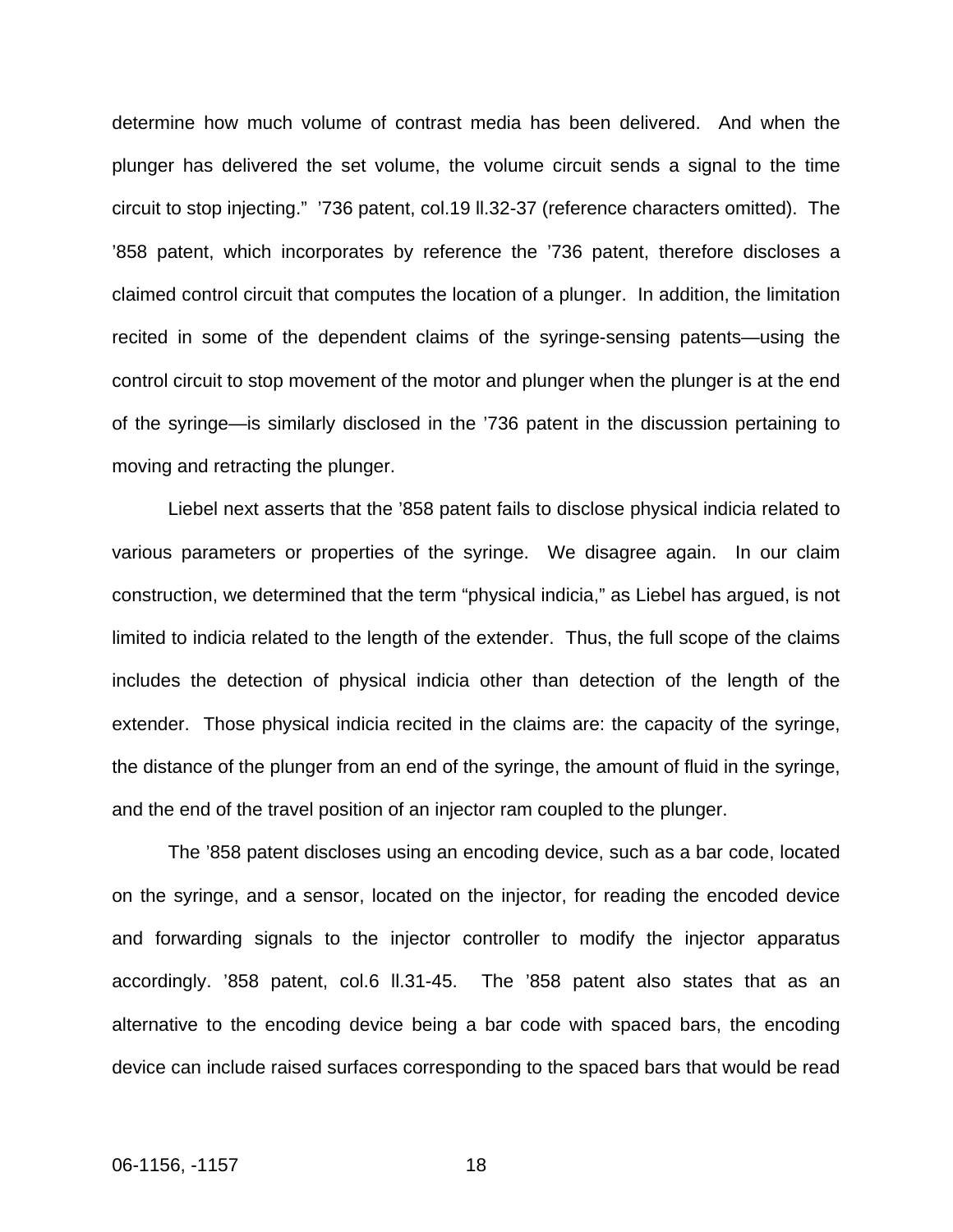determine how much volume of contrast media has been delivered. And when the plunger has delivered the set volume, the volume circuit sends a signal to the time circuit to stop injecting." '736 patent, col.19 ll.32-37 (reference characters omitted). The '858 patent, which incorporates by reference the '736 patent, therefore discloses a claimed control circuit that computes the location of a plunger. In addition, the limitation recited in some of the dependent claims of the syringe-sensing patents—using the control circuit to stop movement of the motor and plunger when the plunger is at the end of the syringe—is similarly disclosed in the '736 patent in the discussion pertaining to moving and retracting the plunger.

Liebel next asserts that the '858 patent fails to disclose physical indicia related to various parameters or properties of the syringe. We disagree again. In our claim construction, we determined that the term "physical indicia," as Liebel has argued, is not limited to indicia related to the length of the extender. Thus, the full scope of the claims includes the detection of physical indicia other than detection of the length of the extender. Those physical indicia recited in the claims are: the capacity of the syringe, the distance of the plunger from an end of the syringe, the amount of fluid in the syringe, and the end of the travel position of an injector ram coupled to the plunger.

The '858 patent discloses using an encoding device, such as a bar code, located on the syringe, and a sensor, located on the injector, for reading the encoded device and forwarding signals to the injector controller to modify the injector apparatus accordingly. '858 patent, col.6 ll.31-45. The '858 patent also states that as an alternative to the encoding device being a bar code with spaced bars, the encoding device can include raised surfaces corresponding to the spaced bars that would be read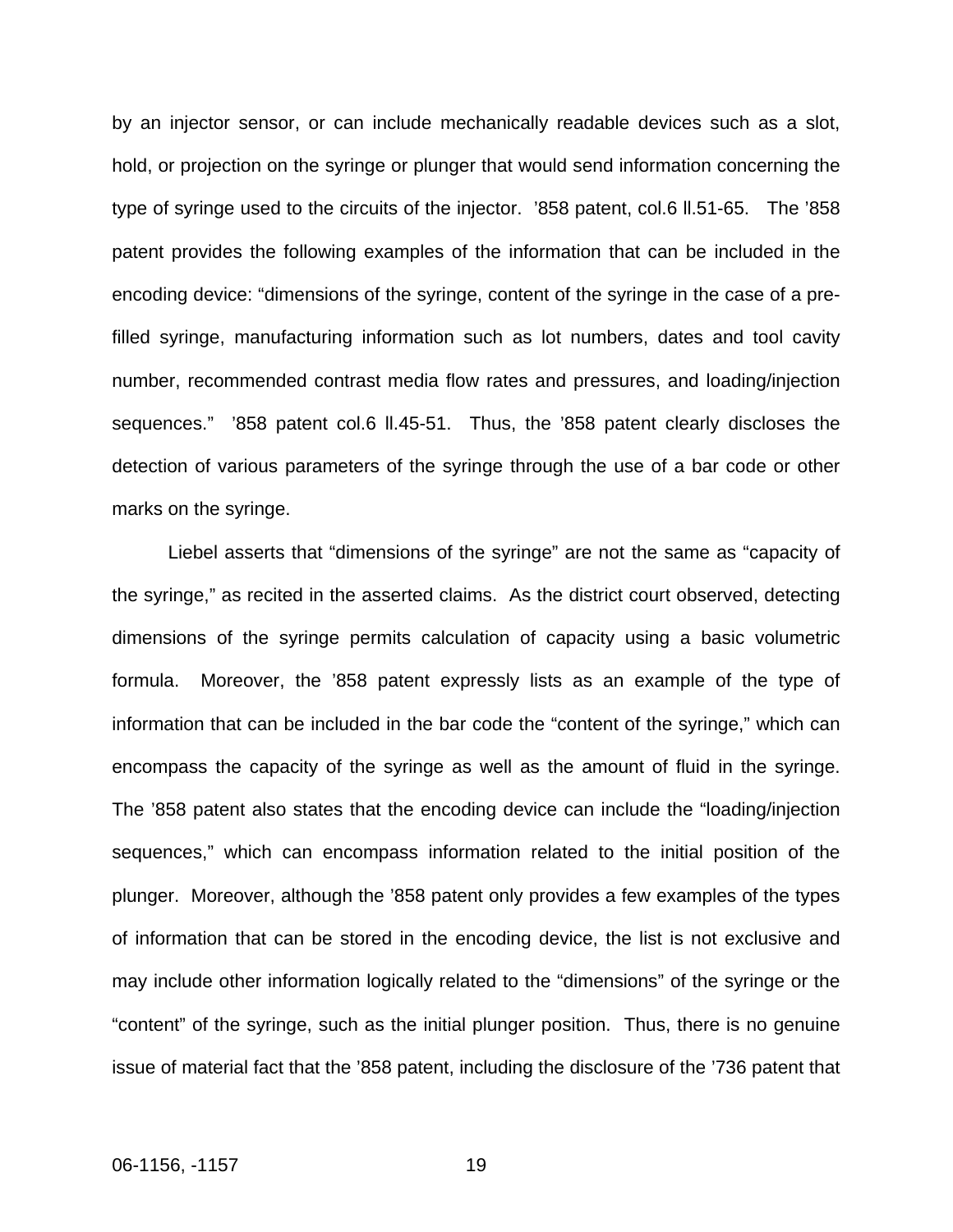by an injector sensor, or can include mechanically readable devices such as a slot, hold, or projection on the syringe or plunger that would send information concerning the type of syringe used to the circuits of the injector. '858 patent, col.6 ll.51-65. The '858 patent provides the following examples of the information that can be included in the encoding device: "dimensions of the syringe, content of the syringe in the case of a prefilled syringe, manufacturing information such as lot numbers, dates and tool cavity number, recommended contrast media flow rates and pressures, and loading/injection sequences." '858 patent col.6 ll.45-51. Thus, the '858 patent clearly discloses the detection of various parameters of the syringe through the use of a bar code or other marks on the syringe.

Liebel asserts that "dimensions of the syringe" are not the same as "capacity of the syringe," as recited in the asserted claims. As the district court observed, detecting dimensions of the syringe permits calculation of capacity using a basic volumetric formula. Moreover, the '858 patent expressly lists as an example of the type of information that can be included in the bar code the "content of the syringe," which can encompass the capacity of the syringe as well as the amount of fluid in the syringe. The '858 patent also states that the encoding device can include the "loading/injection sequences," which can encompass information related to the initial position of the plunger. Moreover, although the '858 patent only provides a few examples of the types of information that can be stored in the encoding device, the list is not exclusive and may include other information logically related to the "dimensions" of the syringe or the "content" of the syringe, such as the initial plunger position. Thus, there is no genuine issue of material fact that the '858 patent, including the disclosure of the '736 patent that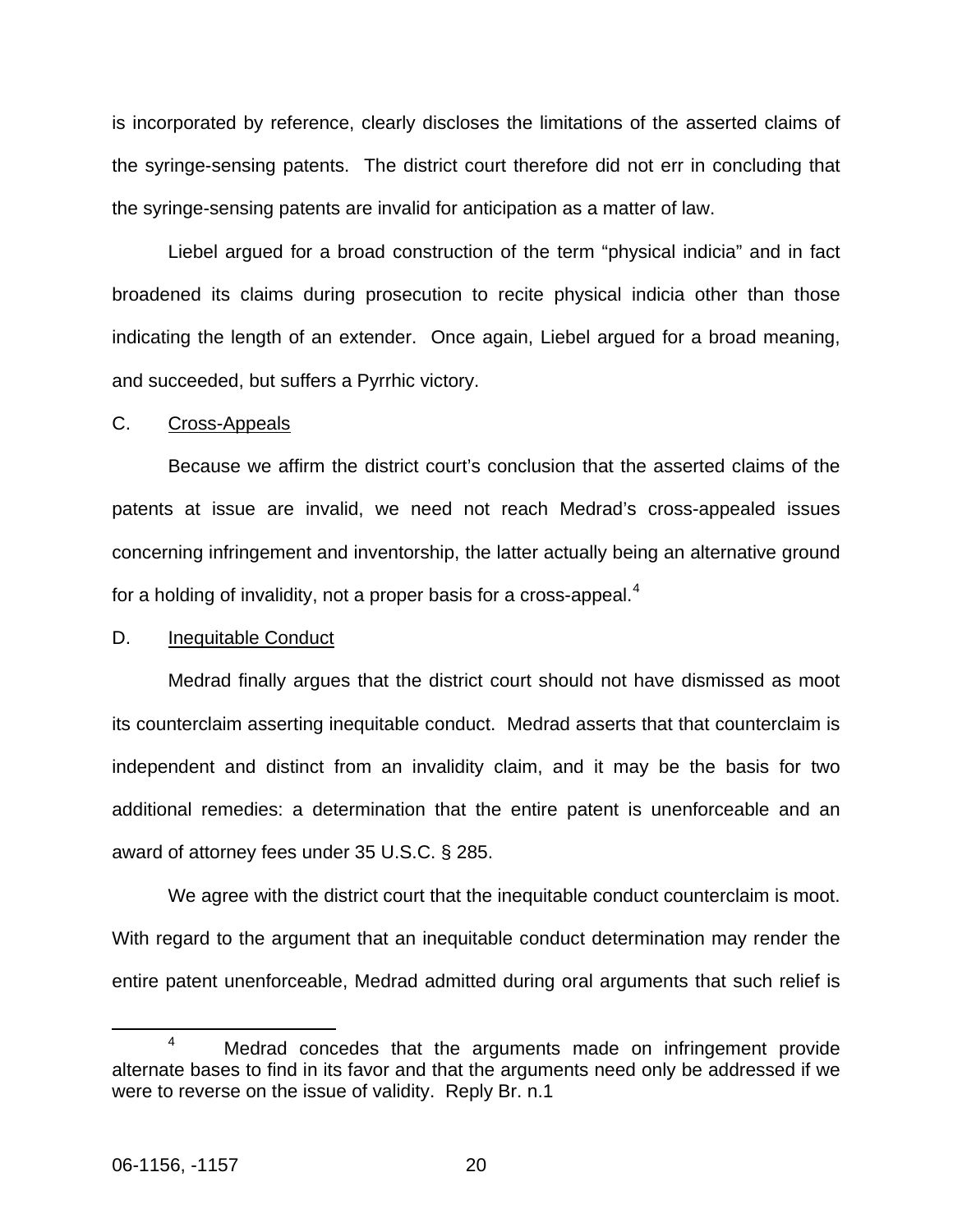is incorporated by reference, clearly discloses the limitations of the asserted claims of the syringe-sensing patents. The district court therefore did not err in concluding that the syringe-sensing patents are invalid for anticipation as a matter of law.

Liebel argued for a broad construction of the term "physical indicia" and in fact broadened its claims during prosecution to recite physical indicia other than those indicating the length of an extender. Once again, Liebel argued for a broad meaning, and succeeded, but suffers a Pyrrhic victory.

#### C. Cross-Appeals

Because we affirm the district court's conclusion that the asserted claims of the patents at issue are invalid, we need not reach Medrad's cross-appealed issues concerning infringement and inventorship, the latter actually being an alternative ground for a holding of invalidity, not a proper basis for a cross-appeal.<sup>[4](#page-20-0)</sup>

#### D. Inequitable Conduct

 Medrad finally argues that the district court should not have dismissed as moot its counterclaim asserting inequitable conduct. Medrad asserts that that counterclaim is independent and distinct from an invalidity claim, and it may be the basis for two additional remedies: a determination that the entire patent is unenforceable and an award of attorney fees under 35 U.S.C. § 285.

 We agree with the district court that the inequitable conduct counterclaim is moot. With regard to the argument that an inequitable conduct determination may render the entire patent unenforceable, Medrad admitted during oral arguments that such relief is

<span id="page-20-0"></span> $\overline{a}$ <sup>4</sup> Medrad concedes that the arguments made on infringement provide alternate bases to find in its favor and that the arguments need only be addressed if we were to reverse on the issue of validity. Reply Br. n.1